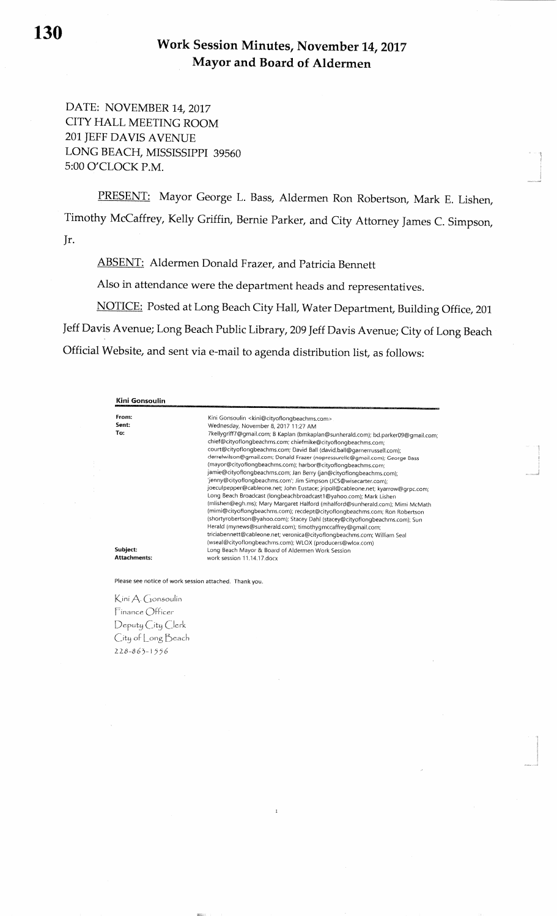DATE: NOVEMBER 14, 2017 CITY HALL MEETING ROOM2Ol IEFF DAVIS AVENUE LONG BEACH, MISSISSFPI 395605:00 O'CLOCK P.M.

PRESENT: Mayor George L. Bass, Aldermen Ron Robertson, Mark E. Lishen, Timothy McCaffrey, Kelly Griffin, Bernie Parker, and City Attorney James C. Simpson, ]r.

ABSENT: Aldermen Donald Frazer, and Patricia Bennett

Also in attendance were the department heads and representatives.

NOTICE: Posted at Long Beach City Hall, Water Department, Building Office, 201 Jeff Davis Avenue; Long Beach Public Library, 20gJeffDavis Avenue; City of Long BeachOfficial Website, and sent via e-mail to agenda distribution list, as follows:

| From:               | Kini Gonsoulin <kini@cityoflongbeachms.com></kini@cityoflongbeachms.com>                                                                           |
|---------------------|----------------------------------------------------------------------------------------------------------------------------------------------------|
| Sent:               | Wednesday, November 8, 2017 11:27 AM                                                                                                               |
| To:                 | 7kellygriff7@gmail.com; B Kaplan (bmkaplan@sunherald.com); bd.parker09@gmail.com;<br>chief@cityoflongbeachms.com; chiefmike@cityoflongbeachms.com; |
|                     | court@cityoflongbeachms.com; David Ball (david.ball@garnerrussell.com);                                                                            |
|                     | derrelwilson@gmail.com; Donald Frazer (nopressurellc@gmail.com); George Bass<br>(mayor@cityoflongbeachms.com); harbor@cityoflongbeachms.com;       |
|                     | jamie@cityoflongbeachms.com; Jan Berry (jan@cityoflongbeachms.com);                                                                                |
|                     | 'jenny@cityoflongbeachms.com'; Jim Simpson (JCS@wisecarter.com);                                                                                   |
|                     | joeculpepper@cableone.net; John Eustace; jripoll@cableone.net; kyarrow@grpc.com;                                                                   |
|                     | Long Beach Broadcast (longbeachbroadcast1@yahoo.com); Mark Lishen                                                                                  |
|                     | (mlishen@egh.ms); Mary Margaret Halford (mhalford@sunherald.com); Mimi McMath                                                                      |
|                     | (mimi@cityoflongbeachms.com); recdept@cityoflongbeachms.com; Ron Robertson                                                                         |
|                     | (shortyrobertson@yahoo.com); Stacey Dahl (stacey@cityoflongbeachms.com); Sun                                                                       |
|                     | Herald (mynews@sunherald.com); timothygmccaffrey@gmail.com;                                                                                        |
|                     | triciabennett@cableone.net; veronica@cityoflongbeachms.com; William Seal                                                                           |
|                     | (wseal@cityoflongbeachms.com); WLOX (producers@wlox.com)                                                                                           |
| Subject:            | Long Beach Mayor & Board of Aldermen Work Session                                                                                                  |
| <b>Attachments:</b> | work session 11.14.17 docx                                                                                                                         |

Please see notice of work session attached. Thank you

Kini A. Gonsoulin  $Finance$   $Officer$ Deput<u>y</u> City Clerk City of Long Beach  $228 - 863 - 1556$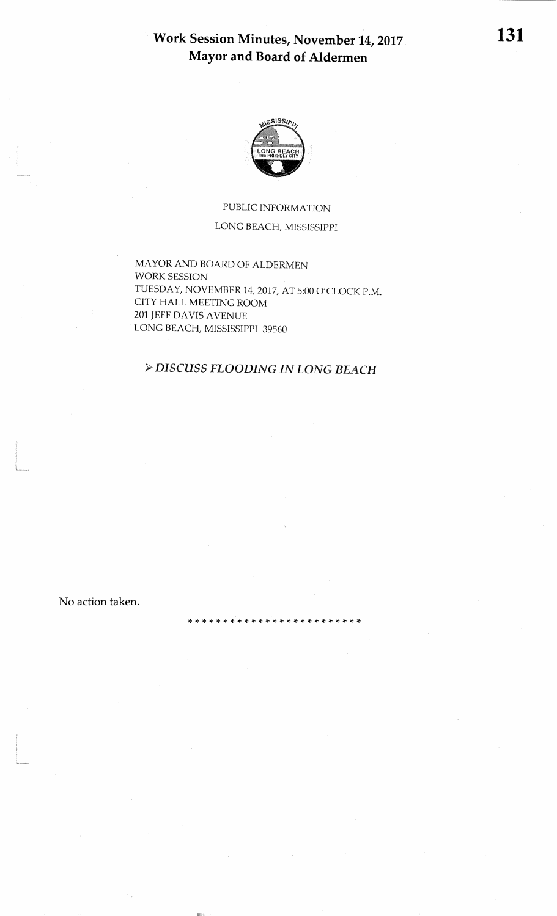## Work Session Minutes, November 14, 2017 Mayor and Board of Aldermen



## PUBLIC INFORMATIONLONG BEACH, MISSISSIPPI

MAYOR AND BOARD OF ALDERMENWORK SESSIONTUESDAY, NOVEMBER 14, 2017, AT 5:00 O'CLOCK P.M. CITY HALL MEETING ROOM 201]EFF DAVIS AVENUELONG BEACH, MISSISSPPI 39560

## >DISCUSS FLOODING IN IONG BEACH

\* \* \* \* \* \* \* \* \* \* \* \* \* \* \* \*

No action taken.

D'I